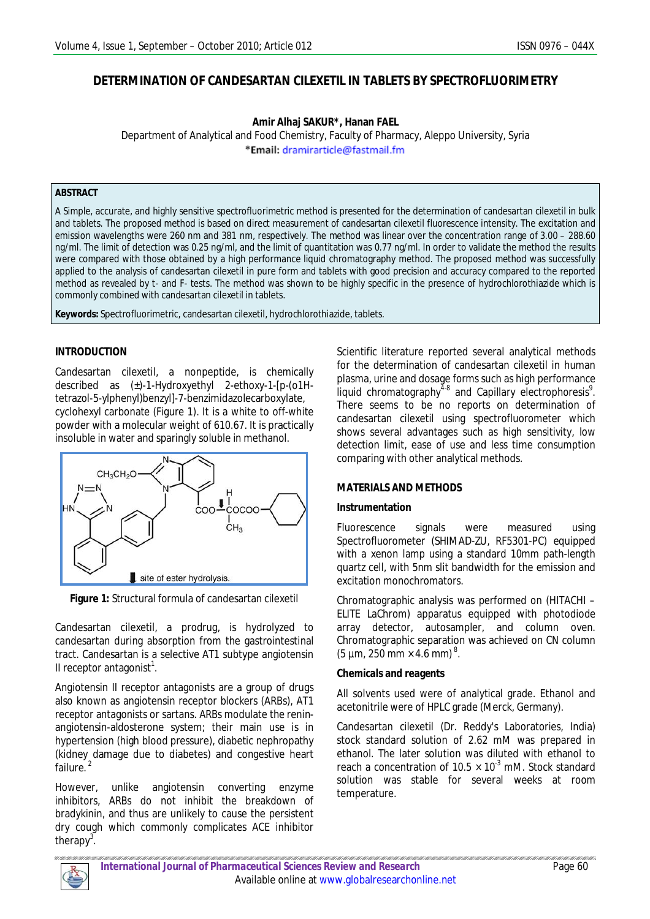# **DETERMINATION OF CANDESARTAN CILEXETIL IN TABLETS BY SPECTROFLUORIMETRY**

**Amir Alhaj SAKUR\*, Hanan FAEL**

Department of Analytical and Food Chemistry, Faculty of Pharmacy, Aleppo University, Syria \*Email: dramirarticle@fastmail.fm

### **ABSTRACT**

A Simple, accurate, and highly sensitive spectrofluorimetric method is presented for the determination of candesartan cilexetil in bulk and tablets. The proposed method is based on direct measurement of candesartan cilexetil fluorescence intensity. The excitation and emission wavelengths were 260 nm and 381 nm, respectively. The method was linear over the concentration range of 3.00 – 288.60 ng/ml. The limit of detection was 0.25 ng/ml, and the limit of quantitation was 0.77 ng/ml. In order to validate the method the results were compared with those obtained by a high performance liquid chromatography method. The proposed method was successfully applied to the analysis of candesartan cilexetil in pure form and tablets with good precision and accuracy compared to the reported method as revealed by *t*- and *F*- tests. The method was shown to be highly specific in the presence of hydrochlorothiazide which is commonly combined with candesartan cilexetil in tablets.

**Keywords:** Spectrofluorimetric, candesartan cilexetil, hydrochlorothiazide, tablets.

## **INTRODUCTION**

Candesartan cilexetil, a nonpeptide, is chemically described as (±)-1-Hydroxyethyl 2-ethoxy-1-[p-(o1Htetrazol-5-ylphenyl)benzyl]-7-benzimidazolecarboxylate, cyclohexyl carbonate (Figure 1). It is a white to off-white powder with a molecular weight of 610.67. It is practically insoluble in water and sparingly soluble in methanol.



**Figure 1:** Structural formula of candesartan cilexetil

Candesartan cilexetil, a prodrug, is hydrolyzed to candesartan during absorption from the gastrointestinal tract. Candesartan is a selective AT1 subtype angiotensin II receptor antagonist $^1$ .

Angiotensin II receptor antagonists are a group of drugs also known as angiotensin receptor blockers (ARBs), AT1 receptor antagonists or sartans. ARBs modulate the reninangiotensin-aldosterone system; their main use is in hypertension (high blood pressure), diabetic nephropathy (kidney damage due to diabetes) and congestive heart failure.<sup>2</sup>

However, unlike angiotensin converting enzyme inhibitors, ARBs do not inhibit the breakdown of bradykinin, and thus are unlikely to cause the persistent dry cough which commonly complicates ACE inhibitor therapy<sup>3</sup>.

Scientific literature reported several analytical methods for the determination of candesartan cilexetil in human plasma, urine and dosage forms such as high performance liquid chromatography<sup>4-8</sup> and Capillary electrophoresis<sup>9</sup>. There seems to be no reports on determination of candesartan cilexetil using spectrofluorometer which shows several advantages such as high sensitivity, low detection limit, ease of use and less time consumption comparing with other analytical methods.

## **MATERIALS AND METHODS**

## **Instrumentation**

Fluorescence signals were measured using Spectrofluorometer (SHIMAD-ZU, RF5301-PC) equipped with a xenon lamp using a standard 10mm path-length quartz cell, with 5nm slit bandwidth for the emission and excitation monochromators.

Chromatographic analysis was performed on (HITACHI – ELITE LaChrom) apparatus equipped with photodiode array detector, autosampler, and column oven. Chromatographic separation was achieved on CN column  $(5 \mu m, 250 \text{ mm} \times 4.6 \text{ mm})^{8}$ .

## **Chemicals and reagents**

All solvents used were of analytical grade. Ethanol and acetonitrile were of HPLC grade (Merck, Germany).

Candesartan cilexetil (Dr. Reddy's Laboratories, India) stock standard solution of 2.62 mM was prepared in ethanol. The later solution was diluted with ethanol to reach a concentration of  $10.5 \times 10^{-3}$  mM. Stock standard solution was stable for several weeks at room temperature.

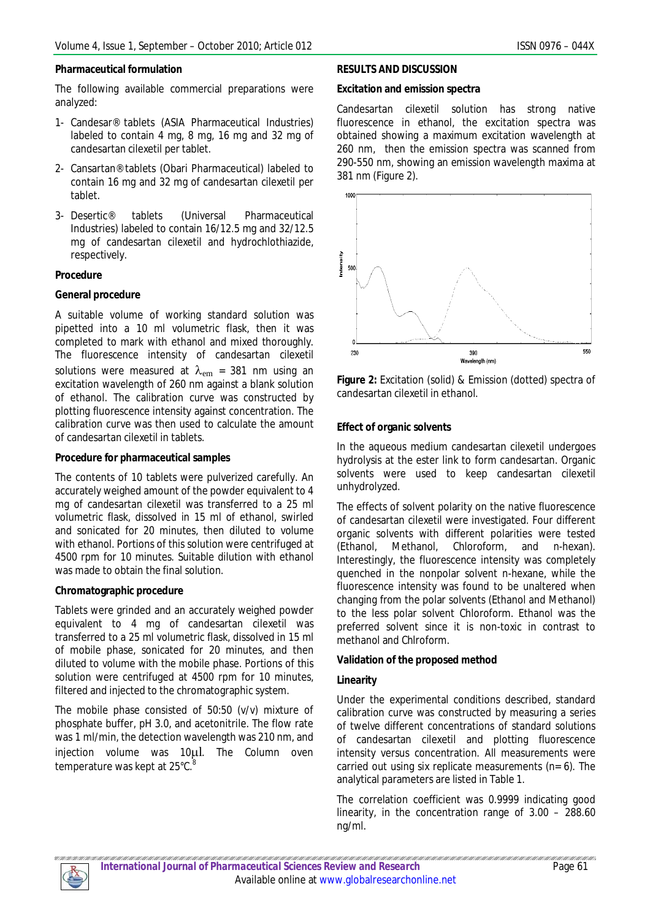## **Pharmaceutical formulation**

The following available commercial preparations were analyzed:

- 1- Candesar® tablets (ASIA Pharmaceutical Industries) labeled to contain 4 mg, 8 mg, 16 mg and 32 mg of candesartan cilexetil per tablet.
- 2- Cansartan® tablets (Obari Pharmaceutical) labeled to contain 16 mg and 32 mg of candesartan cilexetil per tablet.
- 3- Desertic® tablets (Universal Pharmaceutical Industries) labeled to contain 16/12.5 mg and 32/12.5 mg of candesartan cilexetil and hydrochlothiazide, respectively.

### **Procedure**

### **General procedure**

A suitable volume of working standard solution was pipetted into a 10 ml volumetric flask, then it was completed to mark with ethanol and mixed thoroughly. The fluorescence intensity of candesartan cilexetil solutions were measured at  $\lambda_{em}$  = 381 nm using an excitation wavelength of 260 nm against a blank solution of ethanol. The calibration curve was constructed by plotting fluorescence intensity against concentration. The calibration curve was then used to calculate the amount of candesartan cilexetil in tablets.

### **Procedure for pharmaceutical samples**

The contents of 10 tablets were pulverized carefully. An accurately weighed amount of the powder equivalent to 4 mg of candesartan cilexetil was transferred to a 25 ml volumetric flask, dissolved in 15 ml of ethanol, swirled and sonicated for 20 minutes, then diluted to volume with ethanol. Portions of this solution were centrifuged at 4500 rpm for 10 minutes. Suitable dilution with ethanol was made to obtain the final solution.

#### **Chromatographic procedure**

Tablets were grinded and an accurately weighed powder equivalent to 4 mg of candesartan cilexetil was transferred to a 25 ml volumetric flask, dissolved in 15 ml of mobile phase, sonicated for 20 minutes, and then diluted to volume with the mobile phase. Portions of this solution were centrifuged at 4500 rpm for 10 minutes. filtered and injected to the chromatographic system.

The mobile phase consisted of 50:50 (v/v) mixture of phosphate buffer, pH 3.0, and acetonitrile. The flow rate was 1 ml/min, the detection wavelength was 210 nm, and injection volume was 10µl. The Column oven temperature was kept at 25°C.<sup>8</sup>

## **RESULTS AND DISCUSSION**

## **Excitation and emission spectra**

Candesartan cilexetil solution has strong native fluorescence in ethanol, the excitation spectra was obtained showing a maximum excitation wavelength at 260 nm, then the emission spectra was scanned from 290-550 nm, showing an emission wavelength maxima at 381 nm (Figure 2).



**Figure 2:** Excitation (solid) & Emission (dotted) spectra of candesartan cilexetil in ethanol.

## **Effect of organic solvents**

In the aqueous medium candesartan cilexetil undergoes hydrolysis at the ester link to form candesartan. Organic solvents were used to keep candesartan cilexetil unhydrolyzed.

The effects of solvent polarity on the native fluorescence of candesartan cilexetil were investigated. Four different organic solvents with different polarities were tested (Ethanol, Methanol, Chloroform, and n-hexan). Interestingly, the fluorescence intensity was completely quenched in the nonpolar solvent n-hexane, while the fluorescence intensity was found to be unaltered when changing from the polar solvents (Ethanol and Methanol) to the less polar solvent Chloroform. Ethanol was the preferred solvent since it is non-toxic in contrast to methanol and Chlroform.

## **Validation of the proposed method**

## **Linearity**

Under the experimental conditions described, standard calibration curve was constructed by measuring a series of twelve different concentrations of standard solutions of candesartan cilexetil and plotting fluorescence intensity versus concentration. All measurements were carried out using six replicate measurements (n= 6). The analytical parameters are listed in Table 1.

The correlation coefficient was 0.9999 indicating good linearity, in the concentration range of 3.00 – 288.60 ng/ml.

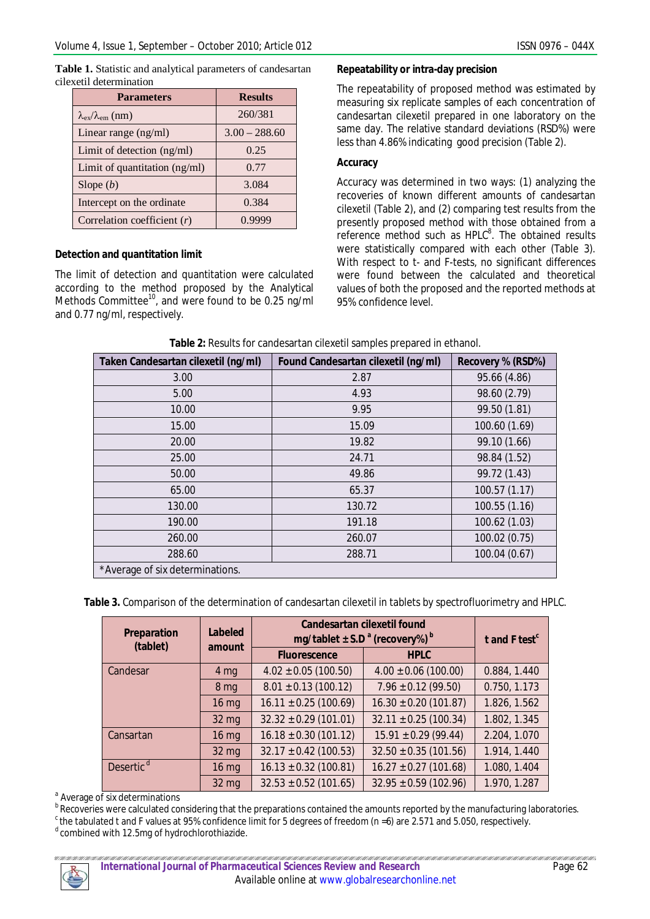| Table 1. Statistic and analytical parameters of candesartan |  |
|-------------------------------------------------------------|--|
| cilexetil determination                                     |  |

| <b>Parameters</b>                        | <b>Results</b>  |  |
|------------------------------------------|-----------------|--|
| $\lambda_{\rm ex}/\lambda_{\rm em}$ (nm) | 260/381         |  |
| Linear range $(ng/ml)$                   | $3.00 - 288.60$ |  |
| Limit of detection $(ng/ml)$             | 0.25            |  |
| Limit of quantitation $(ng/ml)$          | 0.77            |  |
| Slope $(b)$                              | 3.084           |  |
| Intercept on the ordinate                | 0.384           |  |
| Correlation coefficient $(r)$            |                 |  |

## **Detection and quantitation limit**

The limit of detection and quantitation were calculated according to the method proposed by the Analytical Methods Committee<sup>10</sup>, and were found to be 0.25 ng/ml and 0.77 ng/ml, respectively.

### **Repeatability or intra-day precision**

The repeatability of proposed method was estimated by measuring six replicate samples of each concentration of candesartan cilexetil prepared in one laboratory on the same day. The relative standard deviations (RSD%) were less than 4.86% indicating good precision (Table 2).

### **Accuracy**

Accuracy was determined in two ways: (1) analyzing the recoveries of known different amounts of candesartan cilexetil (Table 2), and (2) comparing test results from the presently proposed method with those obtained from a reference method such as  $HPLC<sup>8</sup>$ . The obtained results were statistically compared with each other (Table 3). With respect to *t*- and *F*-tests, no significant differences were found between the calculated and theoretical values of both the proposed and the reported methods at 95% confidence level.

**Table 2:** Results for candesartan cilexetil samples prepared in ethanol.

| Taken Candesartan cilexetil (ng/ml) | Found Candesartan cilexetil (ng/ml) | Recovery % (RSD%) |
|-------------------------------------|-------------------------------------|-------------------|
| 3.00                                | 2.87                                | 95.66 (4.86)      |
| 5.00                                | 4.93                                | 98.60 (2.79)      |
| 10.00                               | 9.95                                | 99.50 (1.81)      |
| 15.00                               | 15.09                               | 100.60 (1.69)     |
| 20.00                               | 19.82                               | 99.10 (1.66)      |
| 25.00                               | 24.71                               | 98.84 (1.52)      |
| 50.00                               | 49.86                               | 99.72 (1.43)      |
| 65.00                               | 65.37                               | 100.57(1.17)      |
| 130.00                              | 130.72                              | 100.55 (1.16)     |
| 190.00                              | 191.18                              | 100.62 (1.03)     |
| 260.00                              | 260.07                              | 100.02 (0.75)     |
| 288.60                              | 288.71                              | 100.04 (0.67)     |
| *Average of six determinations.     |                                     |                   |

**Table 3.** Comparison of the determination of candesartan cilexetil in tablets by spectrofluorimetry and HPLC.

| <b>Preparation</b><br>(tablet) | <b>Labeled</b>      | <b>Candesartan cilexetil found</b><br>mg/tablet $\pm$ S.D <sup>a</sup> (recovery%) <sup>b</sup> |                           | t and $F$ test $c$ |
|--------------------------------|---------------------|-------------------------------------------------------------------------------------------------|---------------------------|--------------------|
| amount                         | <b>Fluorescence</b> | <b>HPLC</b>                                                                                     |                           |                    |
| Candesar                       | 4 <sub>mg</sub>     | $4.02 \pm 0.05$ (100.50)                                                                        | $4.00 \pm 0.06$ (100.00)  | 0.884, 1.440       |
|                                | 8 <sub>mg</sub>     | $8.01 \pm 0.13$ (100.12)                                                                        | $7.96 \pm 0.12$ (99.50)   | 0.750, 1.173       |
|                                | 16 mg               | $16.11 \pm 0.25$ (100.69)                                                                       | $16.30 \pm 0.20$ (101.87) | 1.826, 1.562       |
|                                | 32 mg               | $32.32 \pm 0.29$ (101.01)                                                                       | $32.11 \pm 0.25$ (100.34) | 1.802, 1.345       |
| Cansartan                      | $16$ mg             | $16.18 \pm 0.30$ (101.12)                                                                       | $15.91 \pm 0.29$ (99.44)  | 2.204, 1.070       |
|                                | 32 mg               | $32.17 \pm 0.42$ (100.53)                                                                       | $32.50 \pm 0.35$ (101.56) | 1.914, 1.440       |
| Desertic <sup>d</sup>          | $16$ mg             | $16.13 \pm 0.32$ (100.81)                                                                       | $16.27 \pm 0.27$ (101.68) | 1.080, 1.404       |
|                                | 32 mg               | $32.53 \pm 0.52$ (101.65)                                                                       | $32.95 \pm 0.59$ (102.96) | 1.970, 1.287       |

<sup>a</sup> Average of six determinations

bRecoveries were calculated considering that the preparations contained the amounts reported by the manufacturing laboratories.

 $c$  the tabulated *t* and *F* values at 95% confidence limit for 5 degrees of freedom ( $n$  =6) are 2.571 and 5.050, respectively.

 $d$  combined with 12.5mg of hydrochlorothiazide.